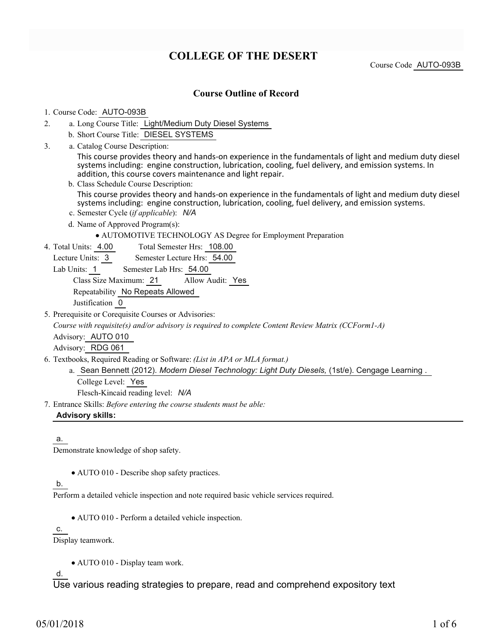# **COLLEGE OF THE DESERT**

Course Code AUTO-093B

### **Course Outline of Record**

#### 1. Course Code: AUTO-093B

- a. Long Course Title: Light/Medium Duty Diesel Systems 2.
	- b. Short Course Title: DIESEL SYSTEMS
- Catalog Course Description: a. 3.

This course provides theory and hands-on experience in the fundamentals of light and medium duty diesel systems including: engine construction, lubrication, cooling, fuel delivery, and emission systems. In addition, this course covers maintenance and light repair.

- b. Class Schedule Course Description: This course provides theory and hands-on experience in the fundamentals of light and medium duty diesel systems including: engine construction, lubrication, cooling, fuel delivery, and emission systems.
- c. Semester Cycle (*if applicable*): *N/A*
- d. Name of Approved Program(s):
	- AUTOMOTIVE TECHNOLOGY AS Degree for Employment Preparation
- Total Semester Hrs: 108.00 4. Total Units: 4.00

Lecture Units: 3 Semester Lecture Hrs: 54.00

Lab Units: 1 Semester Lab Hrs: 54.00

Class Size Maximum: 21 Allow Audit: Yes

Repeatability No Repeats Allowed

Justification 0

5. Prerequisite or Corequisite Courses or Advisories:

*Course with requisite(s) and/or advisory is required to complete Content Review Matrix (CCForm1-A)*

Advisory: AUTO 010

Advisory: RDG 061

Textbooks, Required Reading or Software: *(List in APA or MLA format.)* 6.

a. Sean Bennett (2012). *Modern Diesel Technology: Light Duty Diesels,* (1st/e). Cengage Learning .

College Level: Yes

Flesch-Kincaid reading level: *N/A*

Entrance Skills: *Before entering the course students must be able:* 7.

**Advisory skills:**

#### a.

Demonstrate knowledge of shop safety.

AUTO 010 - Describe shop safety practices.

#### b.

Perform a detailed vehicle inspection and note required basic vehicle services required.

AUTO 010 - Perform a detailed vehicle inspection.

c.

Display teamwork.

AUTO 010 - Display team work.

d.

Use various reading strategies to prepare, read and comprehend expository text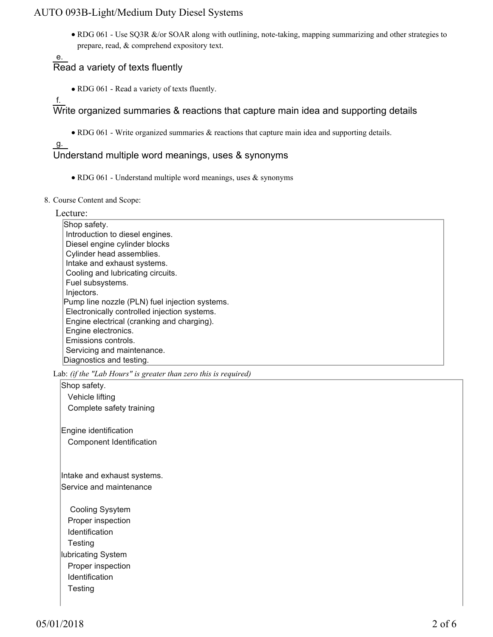• RDG 061 - Use SQ3R &/or SOAR along with outlining, note-taking, mapping summarizing and other strategies to prepare, read, & comprehend expository text.

# Read a variety of texts fluently

- RDG 061 Read a variety of texts fluently.
- f.

e.

Write organized summaries & reactions that capture main idea and supporting details

RDG 061 - Write organized summaries & reactions that capture main idea and supporting details.

## g.

## Understand multiple word meanings, uses & synonyms

- RDG 061 Understand multiple word meanings, uses  $\&$  synonyms
- 8. Course Content and Scope:

#### Lecture:

Shop safety. Introduction to diesel engines. Diesel engine cylinder blocks Cylinder head assemblies. Intake and exhaust systems. Cooling and lubricating circuits. Fuel subsystems. Injectors. Pump line nozzle (PLN) fuel injection systems. Electronically controlled injection systems. Engine electrical (cranking and charging). Engine electronics. Emissions controls. Servicing and maintenance. Diagnostics and testing.

Lab: *(if the "Lab Hours" is greater than zero this is required)*

Shop safety. Vehicle lifting Complete safety training

Engine identification Component Identification

Intake and exhaust systems. Service and maintenance

 Cooling Sysytem Proper inspection Identification **Testing** lubricating System Proper inspection Identification **Testing**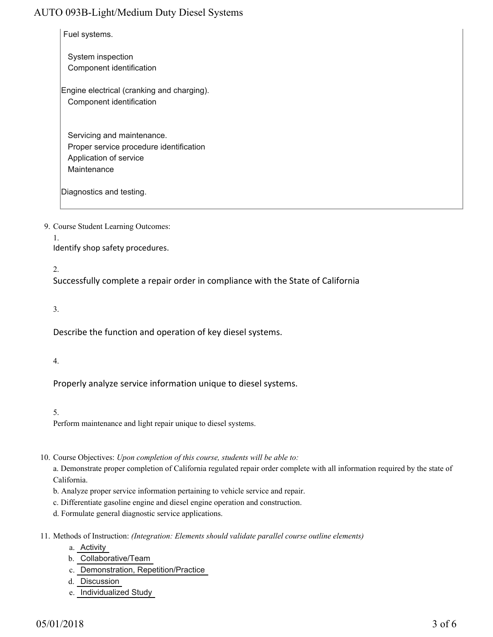Fuel systems.

 System inspection Component identification

Engine electrical (cranking and charging). Component identification

 Servicing and maintenance. Proper service procedure identification Application of service **Maintenance** 

Diagnostics and testing.

9. Course Student Learning Outcomes:

1.

Identify shop safety procedures.

2.

Successfully complete a repair order in compliance with the State of California

3.

Describe the function and operation of key diesel systems.

4.

Properly analyze service information unique to diesel systems.

5.

Perform maintenance and light repair unique to diesel systems.

10. Course Objectives: Upon completion of this course, students will be able to:

a. Demonstrate proper completion of California regulated repair order complete with all information required by the state of California.

- b. Analyze proper service information pertaining to vehicle service and repair.
- c. Differentiate gasoline engine and diesel engine operation and construction.
- d. Formulate general diagnostic service applications.
- 11. Methods of Instruction: *(Integration: Elements should validate parallel course outline elements)* 
	- a. Activity
	- b. Collaborative/Team
	- c. Demonstration, Repetition/Practice
	- d. Discussion
	- e. Individualized Study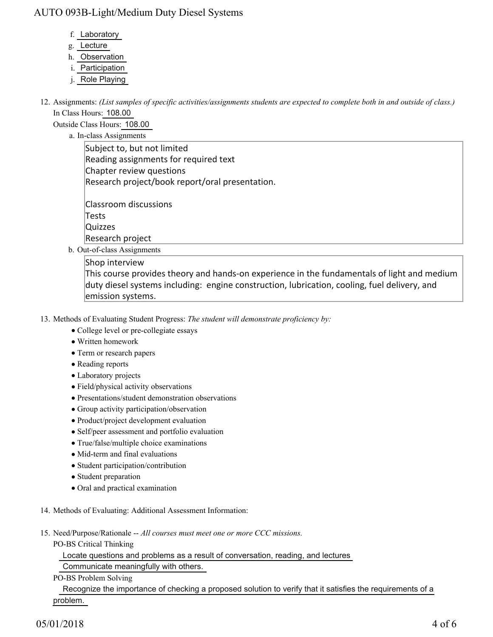- f. Laboratory
- g. Lecture
- h. Observation
- i. Participation
- j. Role Playing

12. Assignments: (List samples of specific activities/assignments students are expected to complete both in and outside of class.) In Class Hours: 108.00

Outside Class Hours: 108.00

a. In-class Assignments

Subject to, but not limited Reading assignments for required text Chapter review questions Research project/book report/oral presentation.

Classroom discussions Tests **Quizzes** Research project

b. Out-of-class Assignments

Shop interview This course provides theory and hands-on experience in the fundamentals of light and medium duty diesel systems including: engine construction, lubrication, cooling, fuel delivery, and emission systems.

- 13. Methods of Evaluating Student Progress: The student will demonstrate proficiency by:
	- College level or pre-collegiate essays
	- Written homework
	- Term or research papers
	- Reading reports
	- Laboratory projects
	- Field/physical activity observations
	- Presentations/student demonstration observations
	- Group activity participation/observation
	- Product/project development evaluation
	- Self/peer assessment and portfolio evaluation
	- True/false/multiple choice examinations
	- Mid-term and final evaluations
	- Student participation/contribution
	- Student preparation
	- Oral and practical examination
- 14. Methods of Evaluating: Additional Assessment Information:
- 15. Need/Purpose/Rationale -- All courses must meet one or more CCC missions.
	- PO-BS Critical Thinking

Locate questions and problems as a result of conversation, reading, and lectures

Communicate meaningfully with others.

#### PO-BS Problem Solving

 Recognize the importance of checking a proposed solution to verify that it satisfies the requirements of a problem.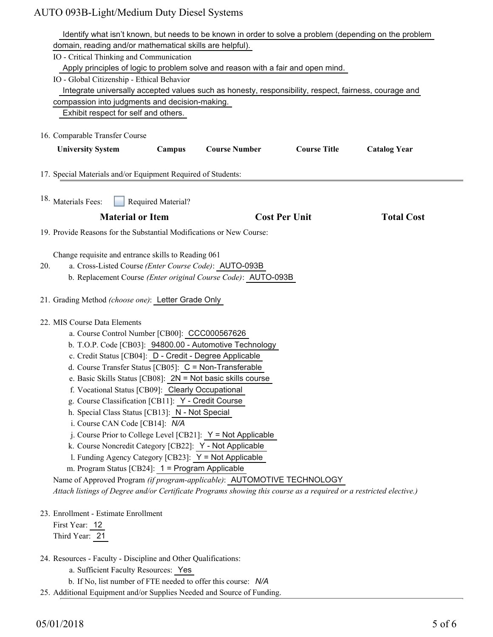|     | Identify what isn't known, but needs to be known in order to solve a problem (depending on the problem             |
|-----|--------------------------------------------------------------------------------------------------------------------|
|     | domain, reading and/or mathematical skills are helpful).                                                           |
|     | IO - Critical Thinking and Communication                                                                           |
|     | Apply principles of logic to problem solve and reason with a fair and open mind.                                   |
|     | IO - Global Citizenship - Ethical Behavior                                                                         |
|     | Integrate universally accepted values such as honesty, responsibility, respect, fairness, courage and              |
|     | compassion into judgments and decision-making.                                                                     |
|     | Exhibit respect for self and others.                                                                               |
|     |                                                                                                                    |
|     | 16. Comparable Transfer Course                                                                                     |
|     | <b>Course Number</b><br><b>Course Title</b><br><b>University System</b><br><b>Catalog Year</b><br>Campus           |
|     |                                                                                                                    |
|     |                                                                                                                    |
|     | 17. Special Materials and/or Equipment Required of Students:                                                       |
|     |                                                                                                                    |
|     | 18. Materials Fees:<br>Required Material?                                                                          |
|     | <b>Material or Item</b><br><b>Cost Per Unit</b><br><b>Total Cost</b>                                               |
|     |                                                                                                                    |
|     | 19. Provide Reasons for the Substantial Modifications or New Course:                                               |
|     |                                                                                                                    |
|     | Change requisite and entrance skills to Reading 061                                                                |
| 20. | a. Cross-Listed Course (Enter Course Code): AUTO-093B                                                              |
|     | b. Replacement Course (Enter original Course Code): AUTO-093B                                                      |
|     |                                                                                                                    |
|     | 21. Grading Method (choose one): Letter Grade Only                                                                 |
|     |                                                                                                                    |
|     | 22. MIS Course Data Elements                                                                                       |
|     | a. Course Control Number [CB00]: CCC000567626                                                                      |
|     | b. T.O.P. Code [CB03]: 94800.00 - Automotive Technology                                                            |
|     | c. Credit Status [CB04]: D - Credit - Degree Applicable                                                            |
|     | d. Course Transfer Status [CB05]: C = Non-Transferable                                                             |
|     | e. Basic Skills Status [CB08]: $2N = Not$ basic skills course                                                      |
|     | f. Vocational Status [CB09]: Clearly Occupational                                                                  |
|     | g. Course Classification [CB11]: Y - Credit Course                                                                 |
|     | h. Special Class Status [CB13]: N - Not Special                                                                    |
|     | i. Course CAN Code [CB14]: N/A                                                                                     |
|     | j. Course Prior to College Level [CB21]: $Y = Not$ Applicable                                                      |
|     | k. Course Noncredit Category [CB22]: Y - Not Applicable                                                            |
|     | 1. Funding Agency Category [CB23]: Y = Not Applicable                                                              |
|     | m. Program Status [CB24]: 1 = Program Applicable                                                                   |
|     | Name of Approved Program (if program-applicable): AUTOMOTIVE TECHNOLOGY                                            |
|     | Attach listings of Degree and/or Certificate Programs showing this course as a required or a restricted elective.) |
|     |                                                                                                                    |
|     | 23. Enrollment - Estimate Enrollment                                                                               |
|     | First Year: 12                                                                                                     |
|     | Third Year: 21                                                                                                     |
|     |                                                                                                                    |
|     | 24. Resources - Faculty - Discipline and Other Qualifications:                                                     |
|     | a. Sufficient Faculty Resources: Yes                                                                               |
|     | b. If No, list number of FTE needed to offer this course: N/A                                                      |

25. Additional Equipment and/or Supplies Needed and Source of Funding.